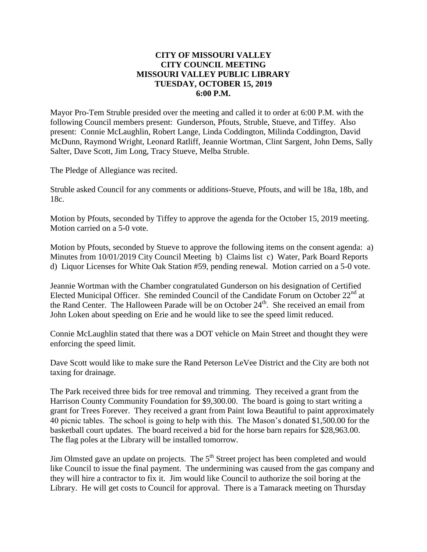### **CITY OF MISSOURI VALLEY CITY COUNCIL MEETING MISSOURI VALLEY PUBLIC LIBRARY TUESDAY, OCTOBER 15, 2019 6:00 P.M.**

Mayor Pro-Tem Struble presided over the meeting and called it to order at 6:00 P.M. with the following Council members present: Gunderson, Pfouts, Struble, Stueve, and Tiffey. Also present: Connie McLaughlin, Robert Lange, Linda Coddington, Milinda Coddington, David McDunn, Raymond Wright, Leonard Ratliff, Jeannie Wortman, Clint Sargent, John Dems, Sally Salter, Dave Scott, Jim Long, Tracy Stueve, Melba Struble.

The Pledge of Allegiance was recited.

Struble asked Council for any comments or additions-Stueve, Pfouts, and will be 18a, 18b, and 18c.

Motion by Pfouts, seconded by Tiffey to approve the agenda for the October 15, 2019 meeting. Motion carried on a 5-0 vote.

Motion by Pfouts, seconded by Stueve to approve the following items on the consent agenda: a) Minutes from 10/01/2019 City Council Meeting b) Claims list c) Water, Park Board Reports d) Liquor Licenses for White Oak Station #59, pending renewal. Motion carried on a 5-0 vote.

Jeannie Wortman with the Chamber congratulated Gunderson on his designation of Certified Elected Municipal Officer. She reminded Council of the Candidate Forum on October  $22<sup>nd</sup>$  at the Rand Center. The Halloween Parade will be on October  $24<sup>th</sup>$ . She received an email from John Loken about speeding on Erie and he would like to see the speed limit reduced.

Connie McLaughlin stated that there was a DOT vehicle on Main Street and thought they were enforcing the speed limit.

Dave Scott would like to make sure the Rand Peterson LeVee District and the City are both not taxing for drainage.

The Park received three bids for tree removal and trimming. They received a grant from the Harrison County Community Foundation for \$9,300.00. The board is going to start writing a grant for Trees Forever. They received a grant from Paint Iowa Beautiful to paint approximately 40 picnic tables. The school is going to help with this. The Mason's donated \$1,500.00 for the basketball court updates. The board received a bid for the horse barn repairs for \$28,963.00. The flag poles at the Library will be installed tomorrow.

Jim Olmsted gave an update on projects. The  $5<sup>th</sup>$  Street project has been completed and would like Council to issue the final payment. The undermining was caused from the gas company and they will hire a contractor to fix it. Jim would like Council to authorize the soil boring at the Library. He will get costs to Council for approval. There is a Tamarack meeting on Thursday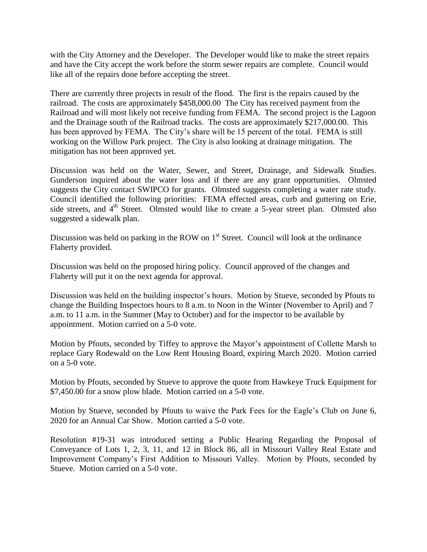with the City Attorney and the Developer. The Developer would like to make the street repairs and have the City accept the work before the storm sewer repairs are complete. Council would like all of the repairs done before accepting the street.

There are currently three projects in result of the flood. The first is the repairs caused by the railroad. The costs are approximately \$458,000.00 The City has received payment from the Railroad and will most likely not receive funding from FEMA. The second project is the Lagoon and the Drainage south of the Railroad tracks. The costs are approximately \$217,000.00. This has been approved by FEMA. The City's share will be 15 percent of the total. FEMA is still working on the Willow Park project. The City is also looking at drainage mitigation. The mitigation has not been approved yet.

Discussion was held on the Water, Sewer, and Street, Drainage, and Sidewalk Studies. Gunderson inquired about the water loss and if there are any grant opportunities. Olmsted suggests the City contact SWIPCO for grants. Olmsted suggests completing a water rate study. Council identified the following priorities: FEMA effected areas, curb and guttering on Erie, side streets, and  $4<sup>th</sup>$  Street. Olmsted would like to create a 5-year street plan. Olmsted also suggested a sidewalk plan.

Discussion was held on parking in the ROW on  $1<sup>st</sup>$  Street. Council will look at the ordinance Flaherty provided.

Discussion was held on the proposed hiring policy. Council approved of the changes and Flaherty will put it on the next agenda for approval.

Discussion was held on the building inspector's hours. Motion by Stueve, seconded by Pfouts to change the Building Inspectors hours to 8 a.m. to Noon in the Winter (November to April) and 7 a.m. to 11 a.m. in the Summer (May to October) and for the inspector to be available by appointment. Motion carried on a 5-0 vote.

Motion by Pfouts, seconded by Tiffey to approve the Mayor's appointment of Collette Marsh to replace Gary Rodewald on the Low Rent Housing Board, expiring March 2020. Motion carried on a 5-0 vote.

Motion by Pfouts, seconded by Stueve to approve the quote from Hawkeye Truck Equipment for \$7,450.00 for a snow plow blade. Motion carried on a 5-0 vote.

Motion by Stueve, seconded by Pfouts to waive the Park Fees for the Eagle's Club on June 6, 2020 for an Annual Car Show. Motion carried a 5-0 vote.

Resolution #19-31 was introduced setting a Public Hearing Regarding the Proposal of Conveyance of Lots 1, 2, 3, 11, and 12 in Block 86, all in Missouri Valley Real Estate and Improvement Company's First Addition to Missouri Valley. Motion by Pfouts, seconded by Stueve. Motion carried on a 5-0 vote.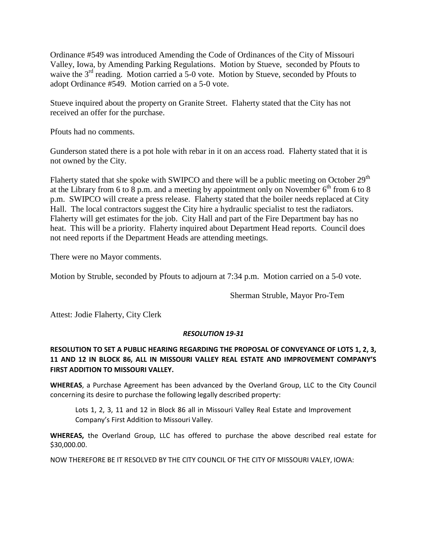Ordinance #549 was introduced Amending the Code of Ordinances of the City of Missouri Valley, Iowa, by Amending Parking Regulations. Motion by Stueve, seconded by Pfouts to waive the 3<sup>rd</sup> reading. Motion carried a 5-0 vote. Motion by Stueve, seconded by Pfouts to adopt Ordinance #549. Motion carried on a 5-0 vote.

Stueve inquired about the property on Granite Street. Flaherty stated that the City has not received an offer for the purchase.

Pfouts had no comments.

Gunderson stated there is a pot hole with rebar in it on an access road. Flaherty stated that it is not owned by the City.

Flaherty stated that she spoke with SWIPCO and there will be a public meeting on October 29<sup>th</sup> at the Library from 6 to 8 p.m. and a meeting by appointment only on November  $6<sup>th</sup>$  from 6 to 8 p.m. SWIPCO will create a press release. Flaherty stated that the boiler needs replaced at City Hall. The local contractors suggest the City hire a hydraulic specialist to test the radiators. Flaherty will get estimates for the job. City Hall and part of the Fire Department bay has no heat. This will be a priority. Flaherty inquired about Department Head reports. Council does not need reports if the Department Heads are attending meetings.

There were no Mayor comments.

Motion by Struble, seconded by Pfouts to adjourn at 7:34 p.m. Motion carried on a 5-0 vote.

Sherman Struble, Mayor Pro-Tem

Attest: Jodie Flaherty, City Clerk

### *RESOLUTION 19-31*

# **RESOLUTION TO SET A PUBLIC HEARING REGARDING THE PROPOSAL OF CONVEYANCE OF LOTS 1, 2, 3, 11 AND 12 IN BLOCK 86, ALL IN MISSOURI VALLEY REAL ESTATE AND IMPROVEMENT COMPANY'S FIRST ADDITION TO MISSOURI VALLEY.**

**WHEREAS**, a Purchase Agreement has been advanced by the Overland Group, LLC to the City Council concerning its desire to purchase the following legally described property:

Lots 1, 2, 3, 11 and 12 in Block 86 all in Missouri Valley Real Estate and Improvement Company's First Addition to Missouri Valley.

**WHEREAS,** the Overland Group, LLC has offered to purchase the above described real estate for \$30,000.00.

NOW THEREFORE BE IT RESOLVED BY THE CITY COUNCIL OF THE CITY OF MISSOURI VALEY, IOWA: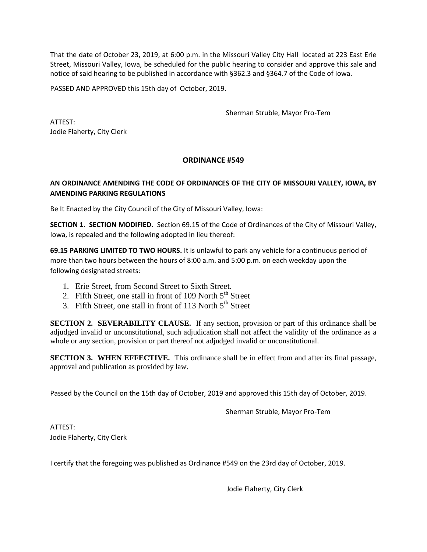That the date of October 23, 2019, at 6:00 p.m. in the Missouri Valley City Hall located at 223 East Erie Street, Missouri Valley, Iowa, be scheduled for the public hearing to consider and approve this sale and notice of said hearing to be published in accordance with §362.3 and §364.7 of the Code of Iowa.

PASSED AND APPROVED this 15th day of October, 2019.

Sherman Struble, Mayor Pro-Tem

ATTEST: Jodie Flaherty, City Clerk

### **ORDINANCE #549**

## **AN ORDINANCE AMENDING THE CODE OF ORDINANCES OF THE CITY OF MISSOURI VALLEY, IOWA, BY AMENDING PARKING REGULATIONS**

Be It Enacted by the City Council of the City of Missouri Valley, Iowa:

**SECTION 1. SECTION MODIFIED.** Section 69.15 of the Code of Ordinances of the City of Missouri Valley, Iowa, is repealed and the following adopted in lieu thereof:

**69.15 PARKING LIMITED TO TWO HOURS.** It is unlawful to park any vehicle for a continuous period of more than two hours between the hours of 8:00 a.m. and 5:00 p.m. on each weekday upon the following designated streets:

- 1. Erie Street, from Second Street to Sixth Street.
- 2. Fifth Street, one stall in front of 109 North  $5<sup>th</sup>$  Street
- 3. Fifth Street, one stall in front of 113 North  $5<sup>th</sup>$  Street

**SECTION 2. SEVERABILITY CLAUSE.** If any section, provision or part of this ordinance shall be adjudged invalid or unconstitutional, such adjudication shall not affect the validity of the ordinance as a whole or any section, provision or part thereof not adjudged invalid or unconstitutional.

**SECTION 3. WHEN EFFECTIVE.** This ordinance shall be in effect from and after its final passage, approval and publication as provided by law.

Passed by the Council on the 15th day of October, 2019 and approved this 15th day of October, 2019.

Sherman Struble, Mayor Pro-Tem

ATTEST: Jodie Flaherty, City Clerk

I certify that the foregoing was published as Ordinance #549 on the 23rd day of October, 2019.

Jodie Flaherty, City Clerk